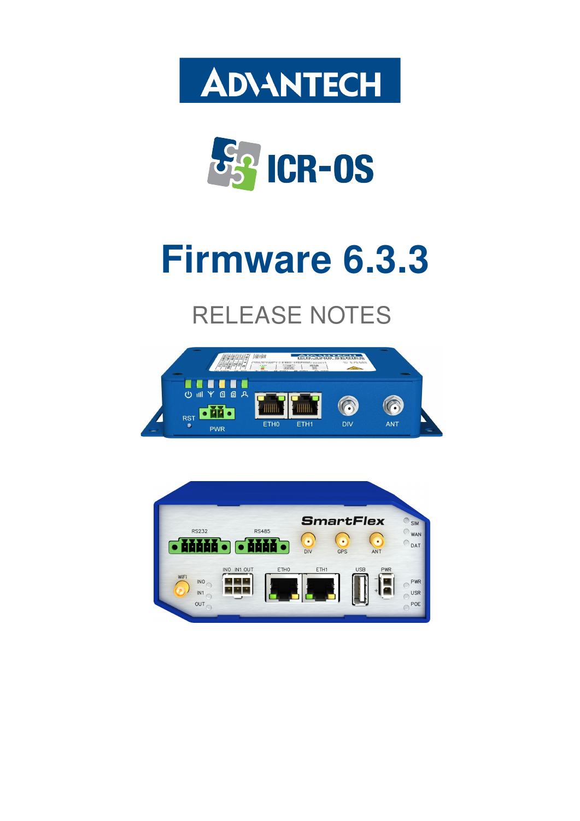



# Firmware 6.3.3

# RELEASE NOTES



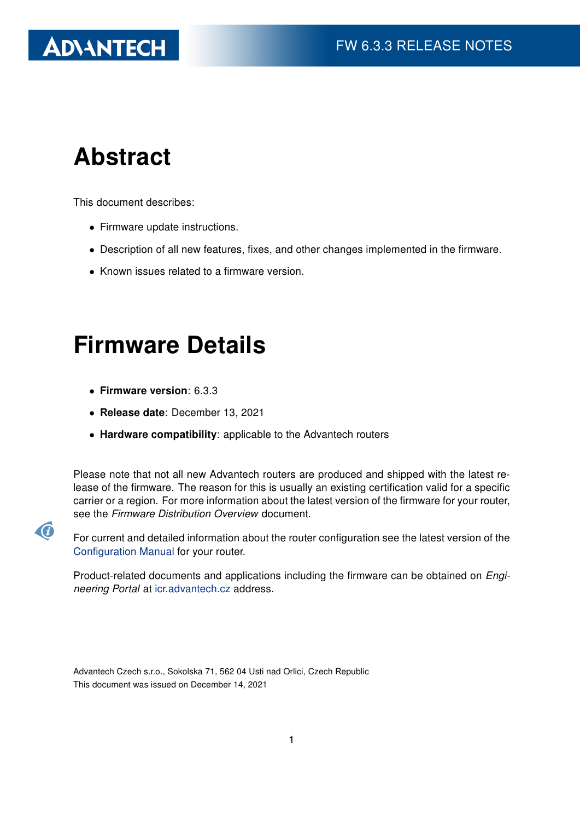# Abstract

This document describes:

- Firmware update instructions.
- Description of all new features, fixes, and other changes implemented in the firmware.
- Known issues related to a firmware version.

# Firmware Details

• Firmware version: 6.3.3

G

- Release date: December 13, 2021
- Hardware compatibility: applicable to the Advantech routers

Please note that not all new Advantech routers are produced and shipped with the latest release of the firmware. The reason for this is usually an existing certification valid for a specific carrier or a region. For more information about the latest version of the firmware for your router, see the Firmware Distribution Overview document.

For current and detailed information about the router configuration see the latest version of the [Configuration Manual](https://icr.advantech.cz/support/router-models) for your router.

Product-related documents and applications including the firmware can be obtained on *Engi*neering Portal at [icr.advantech.cz](https://icr.advantech.cz/) address.

Advantech Czech s.r.o., Sokolska 71, 562 04 Usti nad Orlici, Czech Republic This document was issued on December 14, 2021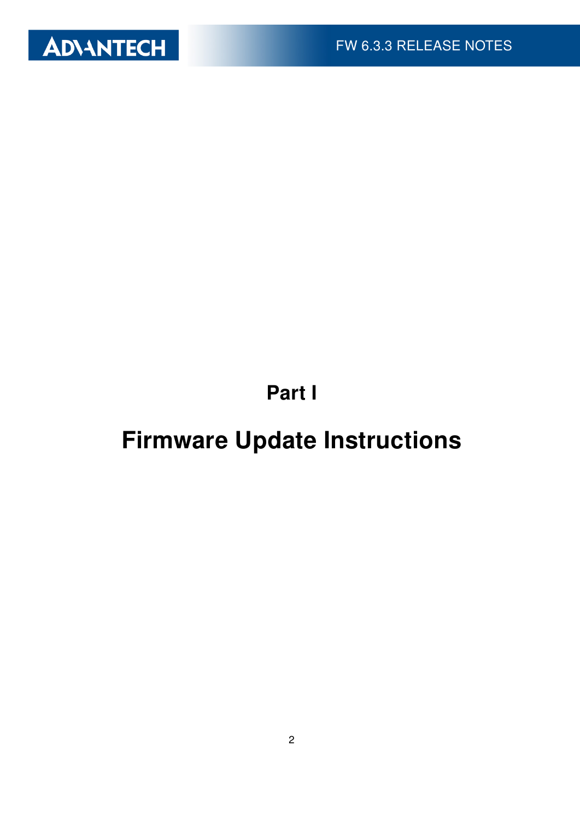

Part I

# <span id="page-2-0"></span>Firmware Update Instructions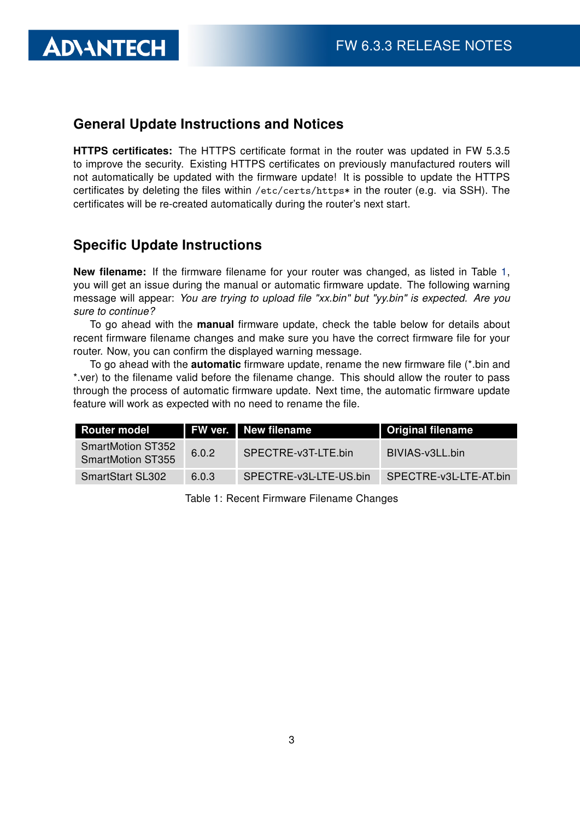#### General Update Instructions and Notices

HTTPS certificates: The HTTPS certificate format in the router was updated in FW 5.3.5 to improve the security. Existing HTTPS certificates on previously manufactured routers will not automatically be updated with the firmware update! It is possible to update the HTTPS certificates by deleting the files within /etc/certs/https\* in the router (e.g. via SSH). The certificates will be re-created automatically during the router's next start.

#### Specific Update Instructions

**ADIANTECH** 

New filename: If the firmware filename for your router was changed, as listed in Table [1,](#page-3-0) you will get an issue during the manual or automatic firmware update. The following warning message will appear: You are trying to upload file "xx.bin" but "yy.bin" is expected. Are you sure to continue?

To go ahead with the **manual** firmware update, check the table below for details about recent firmware filename changes and make sure you have the correct firmware file for your router. Now, you can confirm the displayed warning message.

To go ahead with the **automatic** firmware update, rename the new firmware file (\*.bin and \*.ver) to the filename valid before the filename change. This should allow the router to pass through the process of automatic firmware update. Next time, the automatic firmware update feature will work as expected with no need to rename the file.

| <b>Router model</b>                                  |       | FW ver. New filename   | <b>Original filename</b> |
|------------------------------------------------------|-------|------------------------|--------------------------|
| <b>SmartMotion ST352</b><br><b>SmartMotion ST355</b> | 6.0.2 | SPECTRE-v3T-LTE.bin    | BIVIAS-v3LL.bin          |
| <b>SmartStart SL302</b>                              | 6.0.3 | SPECTRE-v3L-LTE-US.bin | SPECTRE-v3L-LTE-AT.bin   |

<span id="page-3-0"></span>Table 1: Recent Firmware Filename Changes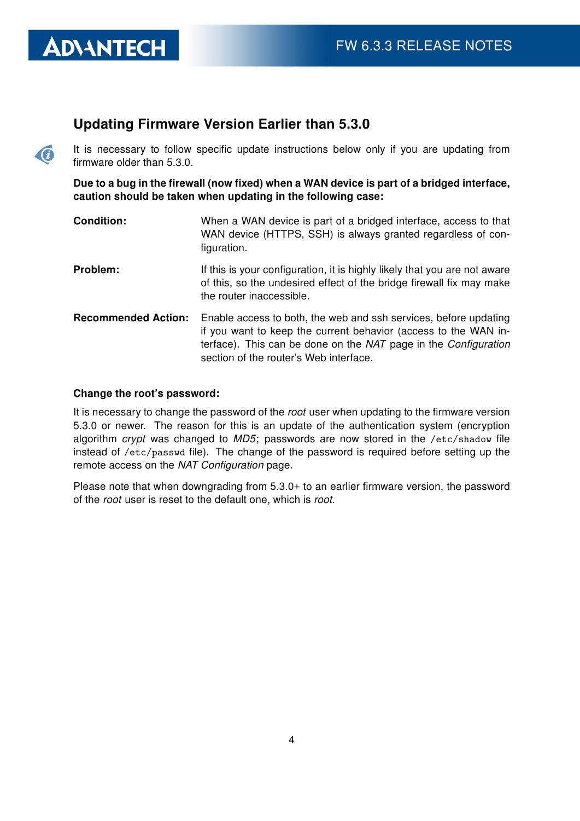#### Updating Firmware Version Earlier than 5.3.0

It is necessary to follow specific update instructions below only if you are updating from firmware older than 5.3.0.

Due to a bug in the firewall (now fixed) when a WAN device is part of a bridged interface, caution should be taken when updating in the following case:

- **Condition:** When a WAN device is part of a bridged interface, access to that WAN device (HTTPS, SSH) is always granted regardless of configuration.
- **Problem:** If this is your configuration, it is highly likely that you are not aware of this, so the undesired effect of the bridge firewall fix may make the router inaccessible.
- Recommended Action: Enable access to both, the web and ssh services, before updating if you want to keep the current behavior (access to the WAN interface). This can be done on the NAT page in the Configuration section of the router's Web interface.

#### Change the root's password:

**ADVANTECH** 

 $\bullet$ 

It is necessary to change the password of the root user when updating to the firmware version 5.3.0 or newer. The reason for this is an update of the authentication system (encryption algorithm crypt was changed to  $MD5$ ; passwords are now stored in the /etc/shadow file instead of /etc/passwd file). The change of the password is required before setting up the remote access on the NAT Configuration page.

Please note that when downgrading from 5.3.0+ to an earlier firmware version, the password of the root user is reset to the default one, which is root.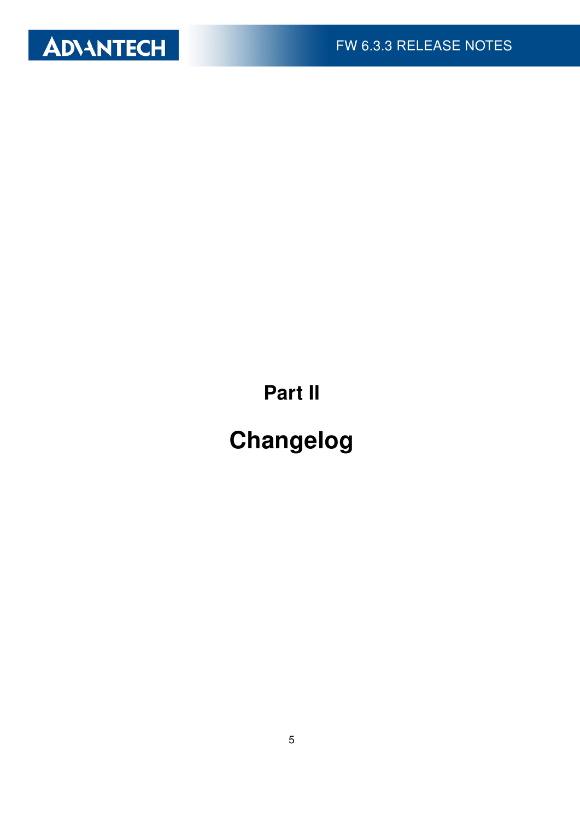

Part II

# Changelog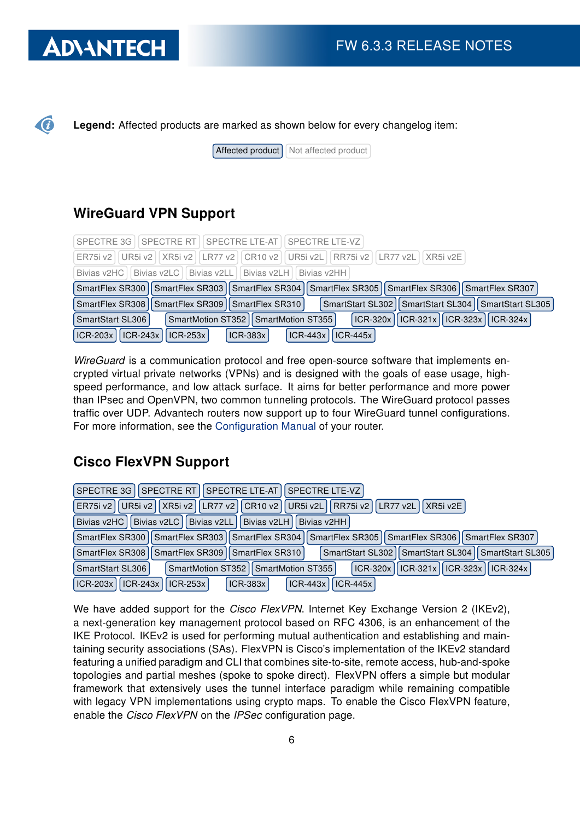# **ADIANTECH**

G

Legend: Affected products are marked as shown below for every changelog item:

 $\sqrt{\frac{4}{\sqrt{1}}$  Affected product

### WireGuard VPN Support

| SPECTRE 3G   SPECTRE RT   SPECTRE LTE-AT   SPECTRE LTE-VZ                                                       |
|-----------------------------------------------------------------------------------------------------------------|
| ER75i v2   UR5i v2   XR5i v2   LR77 v2   CR10 v2   UR5i v2L   RR75i v2   LR77 v2L   XR5i v2E                    |
| Bivias v2HC   Bivias v2LC   Bivias v2LL   Bivias v2LH   Bivias v2HH                                             |
| SmartFlex SR300   SmartFlex SR303   SmartFlex SR304   SmartFlex SR305   SmartFlex SR306   SmartFlex SR307       |
| SmartFlex SR308   SmartFlex SR309   SmartFlex SR310  <br>SmartStart SL302   SmartStart SL304   SmartStart SL305 |
| ICR-320x    ICR-321x    ICR-323x    ICR-324x  <br>SmartMotion ST352   SmartMotion ST355  <br>SmartStart SL306   |
| $ ICR-203x $ ICR-243x   ICR-253x  <br>$\vert$ ICR-443x $\vert$ ICR-445x<br>ICR-383x                             |

WireGuard is a communication protocol and free open-source software that implements encrypted virtual private networks (VPNs) and is designed with the goals of ease usage, highspeed performance, and low attack surface. It aims for better performance and more power than IPsec and OpenVPN, two common tunneling protocols. The WireGuard protocol passes traffic over UDP. Advantech routers now support up to four WireGuard tunnel configurations. For more information, see the [Configuration Manual](https://icr.advantech.cz/support/router-models) of your router.

### Cisco FlexVPN Support

| I SPECTRE RT I<br>SPECTRE LTE-AT l<br><b>SPECTRE LTE-VZ</b><br>SPECTRE 3G                                       |
|-----------------------------------------------------------------------------------------------------------------|
| UR5i v2    XR5i v2    LR77 v2    CR10 v2    UR5i v2L    RR75i v2    LR77 v2L  <br>I XR5i v2E I<br>ER75i v21     |
| Bivias v2HC   Bivias v2LC  <br>Bivias v2LL Bivias v2LH<br>Bivias v2HH                                           |
| SmartFlex SR300   SmartFlex SR303   SmartFlex SR304   SmartFlex SR305   SmartFlex SR306   SmartFlex SR307       |
| SmartFlex SR308   SmartFlex SR309   SmartFlex SR310  <br>SmartStart SL302   SmartStart SL304   SmartStart SL305 |
| $ ICR-321x $ ICR-323x   ICR-324x  <br>$ICR-320x$<br>SmartStart SL306<br>SmartMotion ST352   SmartMotion ST355   |
| <b>ICR-203x</b><br>$ ICR-243x $<br>$ICR-443x$<br>$ICR-383x$<br>$ICR-445x$<br>$ICR-253x$                         |

We have added support for the Cisco FlexVPN. Internet Key Exchange Version 2 (IKEv2), a next-generation key management protocol based on RFC 4306, is an enhancement of the IKE Protocol. IKEv2 is used for performing mutual authentication and establishing and maintaining security associations (SAs). FlexVPN is Cisco's implementation of the IKEv2 standard featuring a unified paradigm and CLI that combines site-to-site, remote access, hub-and-spoke topologies and partial meshes (spoke to spoke direct). FlexVPN offers a simple but modular framework that extensively uses the tunnel interface paradigm while remaining compatible with legacy VPN implementations using crypto maps. To enable the Cisco FlexVPN feature, enable the Cisco FlexVPN on the IPSec configuration page.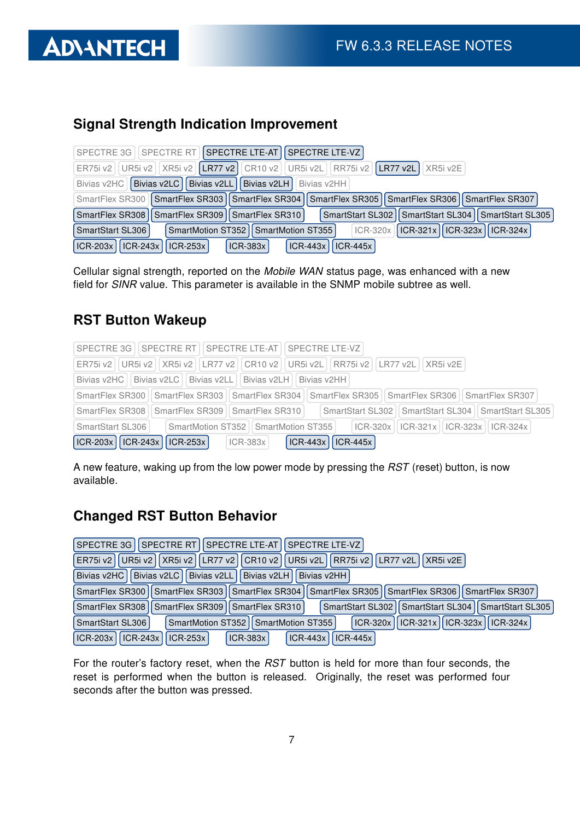# Signal Strength Indication Improvement

|                           | SPECTRE 3G   SPECTRE RT   SPECTRE LTE-AT   SPECTRE LTE-VZ                                                       |
|---------------------------|-----------------------------------------------------------------------------------------------------------------|
|                           | ER75i v2   UR5i v2   XR5i v2   LR77 v2   CR10 v2   UR5i v2L   RR75i v2   LR77 v2L   XR5i v2E                    |
| Bivias v2HC   Bivias v2LC | Bivias v2LL   Bivias v2LH<br>Bivias v2HH                                                                        |
|                           | SmartFlex SR300   SmartFlex SR303   SmartFlex SR304   SmartFlex SR305   SmartFlex SR306   SmartFlex SR307       |
|                           | SmartStart SL302   SmartStart SL304   SmartStart SL305  <br>SmartFlex SR308   SmartFlex SR309   SmartFlex SR310 |
| SmartStart SL306          | $\vert$ ICR-321x   ICR-323x   ICR-324x  <br>SmartMotion ST352   SmartMotion ST355  <br>$ ICR-320x $             |
| $ICR-203x$   $ICR-243x$   | $ICR-445x$<br>$\vert$ ICR-253x<br>$ICR-443x$<br>$ICR-383x$                                                      |

Cellular signal strength, reported on the Mobile WAN status page, was enhanced with a new field for SINR value. This parameter is available in the SNMP mobile subtree as well.

### RST Button Wakeup

| SPECTRE 3G   SPECTRE RT   SPECTRE LTE-AT   SPECTRE LTE-VZ                                                          |
|--------------------------------------------------------------------------------------------------------------------|
| ER75i v2   UR5i v2   XR5i v2   LR77 v2   CR10 v2   UR5i v2L   RR75i v2   LR77 v2L   XR5i v2E                       |
| Bivias v2HC   Bivias v2LC   Bivias v2LL   Bivias v2LH   Bivias v2HH                                                |
| SmartFlex SR300   SmartFlex SR303   SmartFlex SR304   SmartFlex SR305   SmartFlex SR306   SmartFlex SR307          |
| SmartStart SL302    SmartStart SL304    SmartStart SL305<br>SmartFlex SR309   SmartFlex SR310  <br>SmartFlex SR308 |
| SmartMotion ST352   SmartMotion ST355  <br>  ICR-320x    ICR-321x    ICR-323x    ICR-324x  <br>SmartStart SL306    |
| $ CR-203x $ $ CR-243x $ $ CR-253x $<br>$\vert$ ICR-443x $\vert$ ICR-445x<br>$ ICR-383x $                           |

A new feature, waking up from the low power mode by pressing the RST (reset) button, is now available.

### Changed RST Button Behavior

|                                                                                                         | SPECTRE 3G   SPECTRE RT   SPECTRE LTE-AT   SPECTRE LTE-VZ                                    |  |  |
|---------------------------------------------------------------------------------------------------------|----------------------------------------------------------------------------------------------|--|--|
| UR5i v2    XR5i v2    LR77 v2    CR10 v2  <br>  UR5i v2L   RR75i v2   LR77 v2L   XR5i v2E  <br>ER75i v2 |                                                                                              |  |  |
|                                                                                                         | Bivias v2HC   Bivias v2LC   Bivias v2LL   Bivias v2LH  <br>Bivias v2HH                       |  |  |
| SmartFlex SR300   SmartFlex SR303                                                                       | SmartFlex SR304   SmartFlex SR305   SmartFlex SR306   SmartFlex SR307                        |  |  |
| SmartFlex SR308                                                                                         | SmartStart SL302   SmartStart SL304   SmartStart SL305<br>SmartFlex SR309<br>SmartFlex SR310 |  |  |
| SmartStart SL306                                                                                        | ICR-320x    ICR-321x    ICR-323x    ICR-324x  <br>SmartMotion ST352   SmartMotion ST355      |  |  |
| $ICR-203x$<br>$ICR-243x$                                                                                | $ ICR-443x  $<br>$ ICR-383x $<br>$ICR-445x$<br>$\vert$ ICR-253x                              |  |  |

For the router's factory reset, when the RST button is held for more than four seconds, the reset is performed when the button is released. Originally, the reset was performed four seconds after the button was pressed.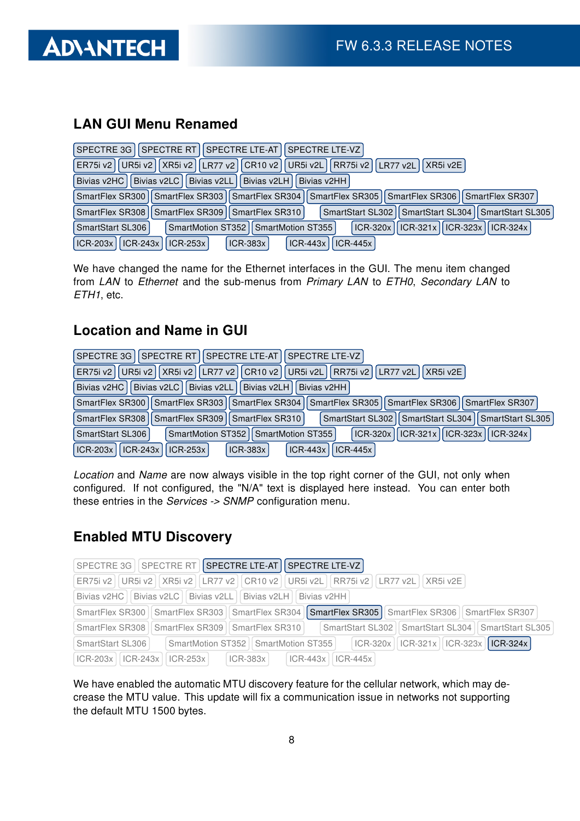

### LAN GUI Menu Renamed

|                                          | SPECTRE 3G   SPECTRE RT   SPECTRE LTE-AT   SPECTRE LTE-VZ                                                 |
|------------------------------------------|-----------------------------------------------------------------------------------------------------------|
| ER75i v2                                 | UR5i v2    XR5i v2    LR77 v2    CR10 v2    UR5i v2L    RR75i v2    LR77 v2L  <br>XR5i v2E                |
| Bivias v2HC   Bivias v2LC                | Bivias v2LL   Bivias v2LH<br>Bivias v2HH                                                                  |
|                                          | SmartFlex SR300   SmartFlex SR303   SmartFlex SR304   SmartFlex SR305   SmartFlex SR306   SmartFlex SR307 |
| SmartFlex SR308                          | SmartStart SL302   SmartStart SL304   SmartStart SL305  <br>SmartFlex SR309   SmartFlex SR310             |
| SmartStart SL306                         | ICR-321x    ICR-323x    ICR-324x  <br>ICR-320x<br>SmartMotion ST352   SmartMotion ST355                   |
| $\vert$ ICR-243x $\vert$ '<br>$ICR-203x$ | $ICR-443x$<br><b>ICR-253x</b><br>$ICR-383x$<br>$ICR-445x$                                                 |

We have changed the name for the Ethernet interfaces in the GUI. The menu item changed from LAN to Ethernet and the sub-menus from Primary LAN to ETH0, Secondary LAN to ETH1, etc.

#### Location and Name in GUI

| SPECTRE 3G   SPECTRE RT   SPECTRE LTE-AT   SPECTRE LTE-VZ                                                       |
|-----------------------------------------------------------------------------------------------------------------|
| UR5i v2    XR5i v2    LR77 v2    CR10 v2    UR5i v2L    RR75i v2    LR77 v2L  <br>I XR5i v2E<br>ER75i v21       |
| Bivias v2LL Divias v2LH<br>Bivias v2HC II Bivias v2LC I<br>l Bivias v2HH l                                      |
| SmartFlex SR305   SmartFlex SR306   SmartFlex SR307<br>SmartFlex SR303<br>SmartFlex SR304 II<br>SmartFlex SR300 |
| SmartFlex SR308   SmartFlex SR309   SmartFlex SR310  <br>SmartStart SL302   SmartStart SL304   SmartStart SL305 |
| ICR-320x    ICR-321x    ICR-323x    ICR-324x  <br>SmartStart SL306<br>SmartMotion ST352   SmartMotion ST355     |
| $ICR-203x$<br>$ ICR-243x $<br>$ICR-383x$<br>$ ICR-253x $<br>$ICR-443x$<br>$ICR-445x$                            |

Location and Name are now always visible in the top right corner of the GUI, not only when configured. If not configured, the "N/A" text is displayed here instead. You can enter both these entries in the Services -> SNMP configuration menu.

### Enabled MTU Discovery

|                                         | SPECTRE 3G   SPECTRE RT   SPECTRE LTE-AT   SPECTRE LTE-VZ           |                                                                                                            |                                                                       |
|-----------------------------------------|---------------------------------------------------------------------|------------------------------------------------------------------------------------------------------------|-----------------------------------------------------------------------|
|                                         |                                                                     | ER75i v2   UR5i v2     XR5i v2     LR77 v2     CR10 v2     UR5i v2L     RR75i v2     LR77 v2L     XR5i v2E |                                                                       |
|                                         | Bivias v2HC   Bivias v2LC   Bivias v2LL   Bivias v2LH   Bivias v2HH |                                                                                                            |                                                                       |
| SmartFlex SR300   SmartFlex SR303       |                                                                     |                                                                                                            | SmartFlex SR304   SmartFlex SR305   SmartFlex SR306   SmartFlex SR307 |
| SmartFlex SR308   SmartFlex SR309       | SmartFlex SR310                                                     |                                                                                                            | SmartStart SL302    SmartStart SL304    SmartStart SL305              |
| SmartStart SL306                        | SmartMotion ST352   SmartMotion ST355                               |                                                                                                            | $\vert$ ICR-320x   ICR-321x   ICR-323x   ICR-324x                     |
| $ CR-203x $   $ CR-243x $   $ CR-253x $ | $ ICR-383x $                                                        | $ICR-443x$<br>$ICR-445x$                                                                                   |                                                                       |

We have enabled the automatic MTU discovery feature for the cellular network, which may decrease the MTU value. This update will fix a communication issue in networks not supporting the default MTU 1500 bytes.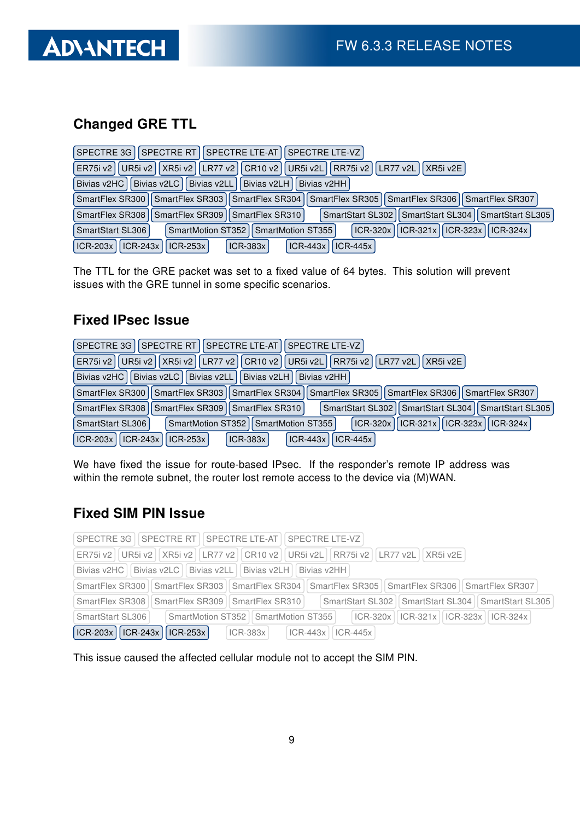## Changed GRE TTL

| SPECTRE RT   SPECTRE LTE-AT   SPECTRE LTE-VZ  <br>SPECTRE 3G                                                      |
|-------------------------------------------------------------------------------------------------------------------|
| ER75i v2   UR5i v2   XR5i v2   LR77 v2   CR10 v2  <br>   UR5i v2L    RR75i v2    LR77 v2L  <br>XRSi v2E           |
| Bivias v2LC   Bivias v2LL   Bivias v2LH  <br>Bivias v2HC<br>Bivias v2HH                                           |
| SmartFlex SR300   SmartFlex SR303   SmartFlex SR304   SmartFlex SR305   SmartFlex SR306   SmartFlex SR307         |
| SmartFlex SR308   SmartFlex SR309   SmartFlex SR310  <br>SmartStart SL302    SmartStart SL304    SmartStart SL305 |
| ICR-321x    ICR-323x    ICR-324x  <br>SmartMotion ST352   SmartMotion ST355<br>ICR-320x1<br>SmartStart SL306      |
| <b>ICR-203x</b><br>$ICR-243x$<br>$ICR-253x$<br>$ICR-383x$<br>$ICR-443x$<br>$ICR-445x$                             |

The TTL for the GRE packet was set to a fixed value of 64 bytes. This solution will prevent issues with the GRE tunnel in some specific scenarios.

### Fixed IPsec Issue

| SPECTRE 3G   SPECTRE RT   SPECTRE LTE-AT  <br><b>SPECTRE LTE-VZ</b>                                               |
|-------------------------------------------------------------------------------------------------------------------|
| UR5i v2    XR5i v2    LR77 v2    CR10 v2    UR5i v2L    RR75i v2    LR77 v2L  <br>XR5i v2E<br><b>ER75i v21</b>    |
| Bivias v2LL Bivias v2LH I<br>Bivias v2HC II Bivias v2LC I<br>Bivias v2HH                                          |
| SmartFlex SR303    SmartFlex SR304    SmartFlex SR305    SmartFlex SR306    SmartFlex SR307<br>SmartFlex SR300    |
| SmartStart SL302   SmartStart SL304   SmartStart SL305<br>SmartFlex SR309 I SmartFlex SR310<br>SmartFlex SR308 II |
| $ ICR-321x $ ICR-323x   ICR-324x  <br>ICR-320x1<br>SmartStart SL306<br>SmartMotion ST352   SmartMotion ST355      |
| $ICR-203x$<br>ICR-243x   ICR-253x  <br>$ICR-443x$<br>$ICR-383x$<br>$ICR-445x$                                     |

We have fixed the issue for route-based IPsec. If the responder's remote IP address was within the remote subnet, the router lost remote access to the device via (M)WAN.

### Fixed SIM PIN Issue

| SPECTRE 3G   SPECTRE RT   SPECTRE LTE-AT   SPECTRE LTE-VZ                                                                |
|--------------------------------------------------------------------------------------------------------------------------|
| ER75i v2   UR5i v2   XR5i v2   LR77 v2   CR10 v2   UR5i v2L   RR75i v2   LR77 v2L   XR5i v2E                             |
| Bivias v2HC   Bivias v2LC   Bivias v2LL   Bivias v2LH   Bivias v2HH                                                      |
| SmartFlex SR300   SmartFlex SR303   SmartFlex SR304   SmartFlex SR305   SmartFlex SR306   SmartFlex SR307                |
| SmartStart SL302    SmartStart SL304    SmartStart SL305<br>SmartFlex SR308   SmartFlex SR309   SmartFlex SR310          |
| SmartMotion ST352    SmartMotion ST355           CR-320x      ICR-321x      ICR-323x      ICR-324x  <br>SmartStart SL306 |
| $ CR-203x $ $ CR-243x $ $ CR-253x $<br>$\vert$ ICR-443x $\vert$ ICR-445x<br>$ ICR-383x $                                 |

This issue caused the affected cellular module not to accept the SIM PIN.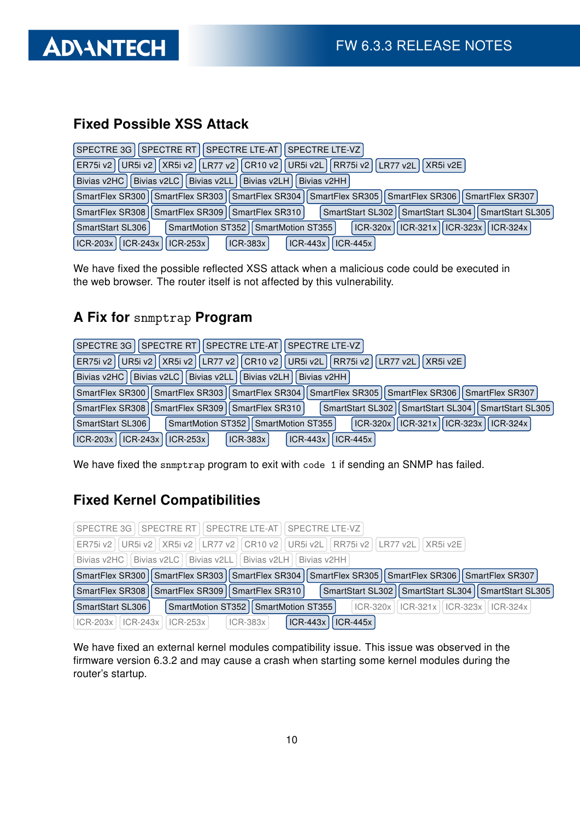

### Fixed Possible XSS Attack

| SPECTRE RT  SPECTRE LTE-AT  SPECTRE LTE-VZ <br>SPECTRE 3G                                                          |
|--------------------------------------------------------------------------------------------------------------------|
| UR5i v2    XR5i v2    LR77 v2    CR10 v2    UR5i v2L    RR75i v2    LR77 v2L  <br>XR5i v2E<br><b>ER75i v2</b>      |
| Bivias v2LL   Bivias v2LH<br>Bivias v2HC   Bivias v2LC  <br>Bivias v2HH                                            |
| SmartFlex SR300   SmartFlex SR303   SmartFlex SR304   SmartFlex SR305   SmartFlex SR306   SmartFlex SR307          |
| SmartStart SL302   SmartStart SL304   SmartStart SL305  <br>SmartFlex SR309   SmartFlex SR310  <br>SmartFlex SR308 |
| $ CR-321x $ ICR-323x   ICR-324x<br>ICR-320x<br>SmartStart SL306<br>SmartMotion ST352   SmartMotion ST355           |
| $ ICR-203x $<br>$ ICR-243x $<br>$ICR-443x$<br>$ICR-445x$<br>$ ICR-253x $<br>$ICR-383x$                             |

We have fixed the possible reflected XSS attack when a malicious code could be executed in the web browser. The router itself is not affected by this vulnerability.

#### A Fix for snmptrap Program

| SPECTRE 3G I SPECTRE RT II<br>  SPECTRE LTE-AT    SPECTRE LTE-VZ                                              |
|---------------------------------------------------------------------------------------------------------------|
| UR5i v2    XR5i v2    LR77 v2    CR10 v2    UR5i v2L    RR75i v2    LR77 v2L    XR5i v2E  <br>ER75i v2        |
| Bivias v2LC<br>Bivias v2LL Divias v2LH Bivias v2HH<br>Bivias v2HC                                             |
| SmartFlex SR300   SmartFlex SR303   SmartFlex SR304   SmartFlex SR305   SmartFlex SR306   SmartFlex SR307     |
| SmartStart SL302   SmartStart SL304   SmartStart SL305<br>SmartFlex SR308   SmartFlex SR309   SmartFlex SR310 |
| $ CR-321x  CR-323x  CR-324x $<br>ICR-320x1<br>SmartMotion ST352   SmartMotion ST355<br>SmartStart SL306       |
| ICR-243x   ICR-253x  <br>$ICR-203x$<br>$ICR-383x$<br>$ ICR-443x $<br>$ICR-445x$                               |

We have fixed the snmptrap program to exit with code 1 if sending an SNMP has failed.

### Fixed Kernel Compatibilities

| SPECTRE 3G I SPECTRE RT I SPECTRE LTE-AT I SPECTRE LTE-VZ                                                       |
|-----------------------------------------------------------------------------------------------------------------|
| ER75i v2   UR5i v2     XR5i v2     LR77 v2     CR10 v2     UR5i v2L     RR75i v2     LR77 v2L     XR5i v2E      |
| Bivias v2HC   Bivias v2LC   Bivias v2LL   Bivias v2LH   Bivias v2HH                                             |
| SmartFlex SR300   SmartFlex SR303   SmartFlex SR304   SmartFlex SR305   SmartFlex SR306   SmartFlex SR307       |
| SmartStart SL302   SmartStart SL304   SmartStart SL305  <br>SmartFlex SR308   SmartFlex SR309   SmartFlex SR310 |
| ICR-320x    ICR-321x    ICR-323x    ICR-324x  <br>SmartStart SL306<br>SmartMotion ST352   SmartMotion ST355     |
| $ICR-443x$<br>$ICR-445x$<br>$ ICR-383x $<br>$ICR-203x$   $ICR-243x$  <br>$ ICR-253x $                           |

We have fixed an external kernel modules compatibility issue. This issue was observed in the firmware version 6.3.2 and may cause a crash when starting some kernel modules during the router's startup.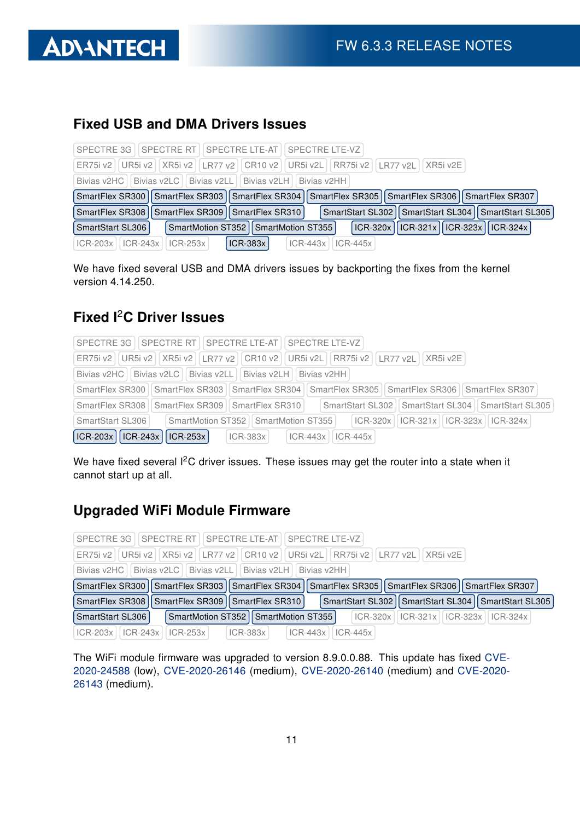

#### Fixed USB and DMA Drivers Issues

|                         | SPECTRE 3G   SPECTRE RT   SPECTRE LTE-AT   SPECTRE LTE-VZ                                                 |                     |                                                        |  |
|-------------------------|-----------------------------------------------------------------------------------------------------------|---------------------|--------------------------------------------------------|--|
|                         | ER75i v2   UR5i v2   XR5i v2   LR77 v2   CR10 v2   UR5i v2L   RR75i v2   LR77 v2L   XR5i v2E              |                     |                                                        |  |
|                         | Bivias v2HC   Bivias v2LC   Bivias v2LL   Bivias v2LH   Bivias v2HH                                       |                     |                                                        |  |
|                         | SmartFlex SR300   SmartFlex SR303   SmartFlex SR304   SmartFlex SR305   SmartFlex SR306   SmartFlex SR307 |                     |                                                        |  |
|                         | SmartFlex SR308   SmartFlex SR309   SmartFlex SR310                                                       |                     | SmartStart SL302   SmartStart SL304   SmartStart SL305 |  |
| SmartStart SL306        | SmartMotion ST352   SmartMotion ST355                                                                     |                     | $ ICR-320x  ICR-321x  ICR-323x  ICR-324x $             |  |
| $ICR-203x$   $ICR-243x$ | <b>ICR-383x</b><br>$ ICR-253x $                                                                           | ICR-443x   ICR-445x |                                                        |  |

We have fixed several USB and DMA drivers issues by backporting the fixes from the kernel version 4.14.250.

#### Fixed I<sup>2</sup>C Driver Issues

| SPECTRE 3G   SPECTRE RT   SPECTRE LTE-AT   SPECTRE LTE-VZ                                                       |
|-----------------------------------------------------------------------------------------------------------------|
| ER75i v2   UR5i v2   XR5i v2   LR77 v2   CR10 v2   UR5i v2L   RR75i v2   LR77 v2L   XR5i v2E                    |
| Bivias v2HC   Bivias v2LC   Bivias v2LL   Bivias v2LH   Bivias v2HH                                             |
| SmartFlex SR300   SmartFlex SR303   SmartFlex SR304   SmartFlex SR305   SmartFlex SR306   SmartFlex SR307       |
| SmartStart SL302    SmartStart SL304    SmartStart SL305<br>SmartFlex SR308   SmartFlex SR309   SmartFlex SR310 |
| SmartMotion ST352 SmartMotion ST355     CR-320x   CR-321x   CR-323x   CR-324x  <br>SmartStart SL306             |
| $ ICR-203x $ ICR-243x   ICR-253x  <br>$ ICR-383x $ $ ICR-443x $ $ ICR-445x $                                    |

We have fixed several I<sup>2</sup>C driver issues. These issues may get the router into a state when it cannot start up at all.

### Upgraded WiFi Module Firmware

| SPECTRE 3G   SPECTRE RT   SPECTRE LTE-AT   SPECTRE LTE-VZ                                                       |
|-----------------------------------------------------------------------------------------------------------------|
| ER75i v2   UR5i v2   XR5i v2   LR77 v2   CR10 v2   UR5i v2L   RR75i v2   LR77 v2L   XR5i v2E                    |
| Bivias v2HC   Bivias v2LC   Bivias v2LL   Bivias v2LH   Bivias v2HH                                             |
| SmartFlex SR300   SmartFlex SR303   SmartFlex SR304   SmartFlex SR305   SmartFlex SR306   SmartFlex SR307       |
| SmartFlex SR308   SmartFlex SR309   SmartFlex SR310  <br>SmartStart SL302   SmartStart SL304   SmartStart SL305 |
| SmartMotion ST352   SmartMotion ST355  <br>  ICR-320x    ICR-321x    ICR-323x    ICR-324x  <br>SmartStart SL306 |
| ICR-203x   ICR-243x   ICR-253x  <br>$ ICR-383x $<br>$\vert$ ICR-443x $\vert$ ICR-445x $\vert$                   |

The WiFi module firmware was upgraded to version 8.9.0.0.88. This update has fixed [CVE-](https://nvd.nist.gov/vuln/detail/CVE-2020-24588)[2020-24588](https://nvd.nist.gov/vuln/detail/CVE-2020-24588) (low), [CVE-2020-26146](https://nvd.nist.gov/vuln/detail/CVE-2020-26146) (medium), [CVE-2020-26140](https://nvd.nist.gov/vuln/detail/CVE-2020-26140) (medium) and [CVE-2020-](https://nvd.nist.gov/vuln/detail/CVE-2020-26143) [26143](https://nvd.nist.gov/vuln/detail/CVE-2020-26143) (medium).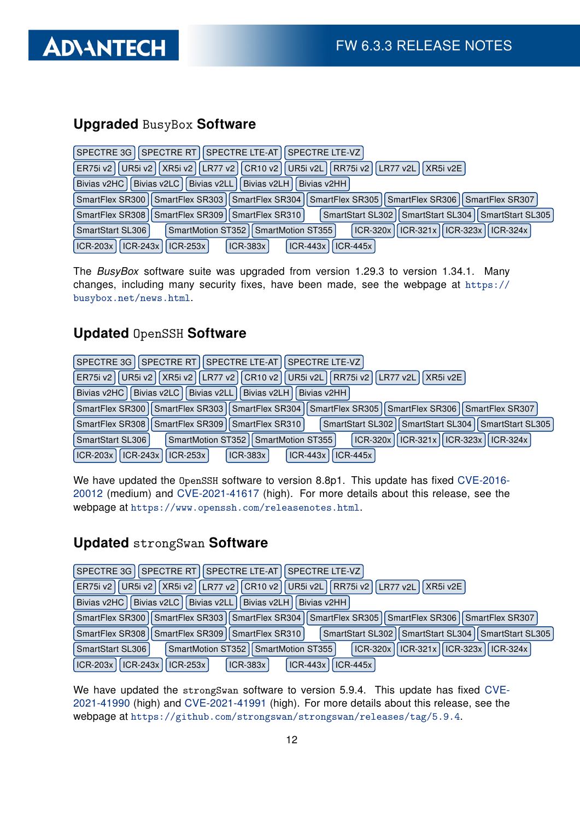## Upgraded BusyBox Software

| SPECTRE RT   SPECTRE LTE-AT   SPECTRE LTE-VZ  <br>SPECTRE 3G                                                      |
|-------------------------------------------------------------------------------------------------------------------|
| LR77 v2    CR10 v2    UR5i v2L    RR75i v2    LR77 v2L    XR5i v2E  <br>UR5i v2   XR5i v2  <br>ER75i v2           |
| Bivias v2HC   Bivias v2LC  <br>Bivias v2LL   Bivias v2LH  <br>Bivias v2HH I                                       |
| SmartFlex SR303   SmartFlex SR304   SmartFlex SR305   SmartFlex SR306   SmartFlex SR307<br>SmartFlex SR300        |
| SmartFlex SR309   SmartFlex SR310  <br>SmartStart SL304 I SmartStart SL305<br>SmartFlex SR308<br>SmartStart SL302 |
| ICR-320x   ICR-321x   ICR-323x   ICR-324x  <br>SmartMotion ST352   SmartMotion ST355  <br>SmartStart SL306        |
| $ ICR-243x $<br>$ICR-203x$<br>$ICR-443x$<br>$ ICR-253x $<br>$ICR-383x$<br>$ICR-445x$                              |

The BusyBox software suite was upgraded from version 1.29.3 to version 1.34.1. Many changes, including many security fixes, have been made, see the webpage at [https://](https://busybox.net/news.html) [busybox.net/news.html](https://busybox.net/news.html).

#### Updated OpenSSH Software

| <b>SPECTRE RT</b><br>   SPECTRE LTE-AT  <br>SPECTRE LTE-VZ<br>SPECTRE 3G II                                       |
|-------------------------------------------------------------------------------------------------------------------|
| UR5i v2    XR5i v2    LR77 v2    CR10 v2    UR5i v2L    RR75i v2    LR77 v2L  <br>II XR5i v2E I<br>ER75i v2       |
| Bivias v2HC   Bivias v2LC   Bivias v2LL   Bivias v2LH  <br>Bivias v2HH                                            |
| SmartFlex SR300   SmartFlex SR303   SmartFlex SR304   SmartFlex SR305   SmartFlex SR306  <br>SmartFlex SR307      |
| SmartFlex SR308   SmartFlex SR309   SmartFlex SR310  <br>SmartStart SL302    SmartStart SL304    SmartStart SL305 |
| ICR-320x    ICR-321x    ICR-323x    ICR-324x  <br>SmartStart SL306<br>SmartMotion ST352   SmartMotion ST355       |
| $ICR-203x$<br>$\vert$ ICR-243x $\vert$ ICR-253x $\vert$<br>$ ICR-443x $<br>$ ICR-383x $<br>$ICR-445x$             |

We have updated the OpenSSH software to version 8.8p1. This update has fixed [CVE-2016-](https://nvd.nist.gov/vuln/detail/CVE-2016-20012) [20012](https://nvd.nist.gov/vuln/detail/CVE-2016-20012) (medium) and [CVE-2021-41617](https://nvd.nist.gov/vuln/detail/CVE-2021-41617) (high). For more details about this release, see the webpage at <https://www.openssh.com/releasenotes.html>.

### Updated strongSwan Software

| SPECTRE 3G   SPECTRE RT   SPECTRE LTE-AT   SPECTRE LTE-VZ                                                           |
|---------------------------------------------------------------------------------------------------------------------|
| UR5i v2    XR5i v2    LR77 v2    CR10 v2    UR5i v2L    RR75i v2    LR77 v2L  <br>IXR5i v2E<br>ER75i v2             |
| Bivias v2LL Divias v2LH<br>Bivias v2HC II Bivias v2LC I<br>Bivias v2HH                                              |
| SmartFlex SR305   SmartFlex SR306   SmartFlex SR307<br>SmartFlex SR300   SmartFlex SR303   SmartFlex SR304          |
| SmartStart SL302   SmartStart SL304   SmartStart SL305<br>SmartFlex SR309   SmartFlex SR310  <br>SmartFlex SR308 II |
| $ ICR-320x  ICR-321x  ICR-323x  ICR-324x $<br>SmartMotion ST352   SmartMotion ST355  <br>SmartStart SL306           |
| $ICR-203x$<br>ICR-243x   ICR-253x  <br><b>ICR-383x</b><br>$ICR-443x$<br>$ICR-445x$                                  |

We have updated the strongSwan software to version 5.9.4. This update has fixed [CVE-](https://nvd.nist.gov/vuln/detail/CVE-2021-41990)[2021-41990](https://nvd.nist.gov/vuln/detail/CVE-2021-41990) (high) and [CVE-2021-41991](https://nvd.nist.gov/vuln/detail/CVE-2021-41991) (high). For more details about this release, see the webpage at <https://github.com/strongswan/strongswan/releases/tag/5.9.4>.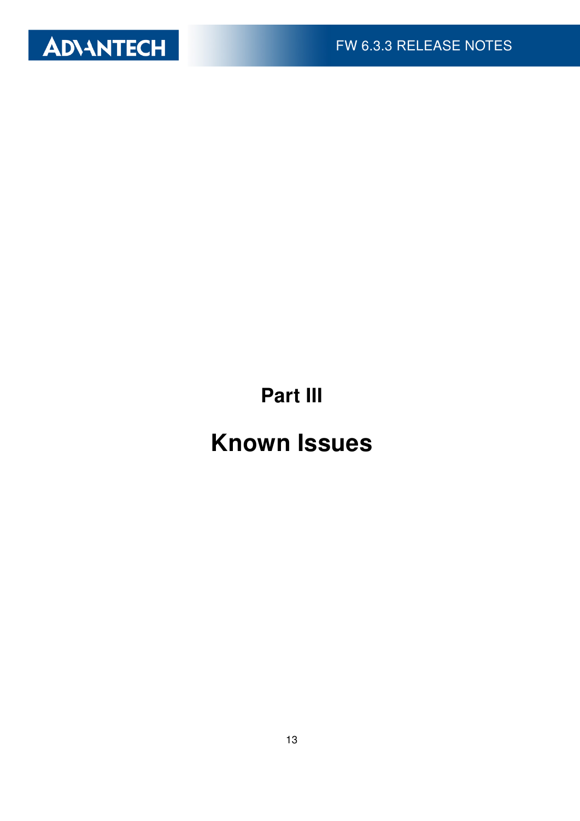

Part III

# Known Issues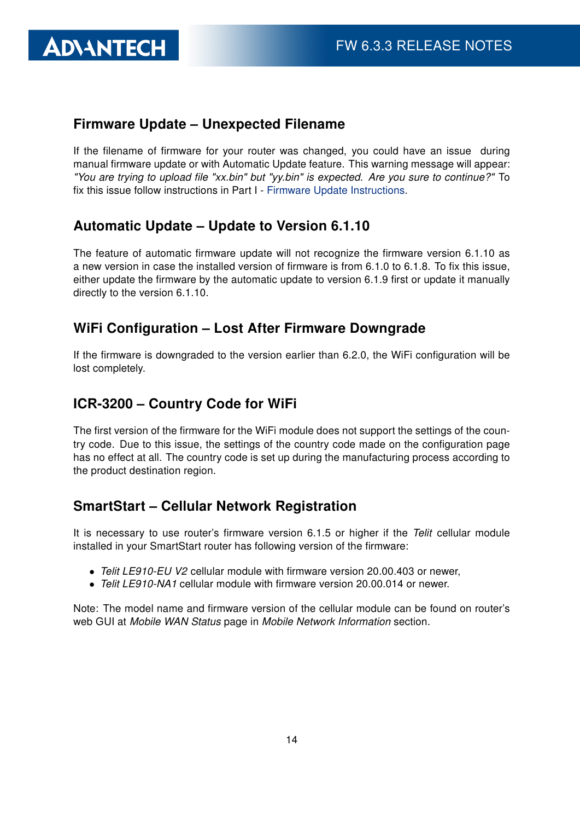#### Firmware Update – Unexpected Filename

If the filename of firmware for your router was changed, you could have an issue during manual firmware update or with Automatic Update feature. This warning message will appear: "You are trying to upload file "xx.bin" but "yy.bin" is expected. Are you sure to continue?" To fix this issue follow instructions in Part I - [Firmware Update Instructions.](#page-2-0)

#### Automatic Update – Update to Version 6.1.10

The feature of automatic firmware update will not recognize the firmware version 6.1.10 as a new version in case the installed version of firmware is from 6.1.0 to 6.1.8. To fix this issue, either update the firmware by the automatic update to version 6.1.9 first or update it manually directly to the version 6.1.10.

#### WiFi Configuration – Lost After Firmware Downgrade

If the firmware is downgraded to the version earlier than 6.2.0, the WiFi configuration will be lost completely.

#### ICR-3200 – Country Code for WiFi

The first version of the firmware for the WiFi module does not support the settings of the country code. Due to this issue, the settings of the country code made on the configuration page has no effect at all. The country code is set up during the manufacturing process according to the product destination region.

#### SmartStart – Cellular Network Registration

It is necessary to use router's firmware version 6.1.5 or higher if the Telit cellular module installed in your SmartStart router has following version of the firmware:

- Telit LE910-EU V2 cellular module with firmware version 20.00.403 or newer,
- Telit LE910-NA1 cellular module with firmware version 20,000,014 or newer.

Note: The model name and firmware version of the cellular module can be found on router's web GUI at Mobile WAN Status page in Mobile Network Information section.